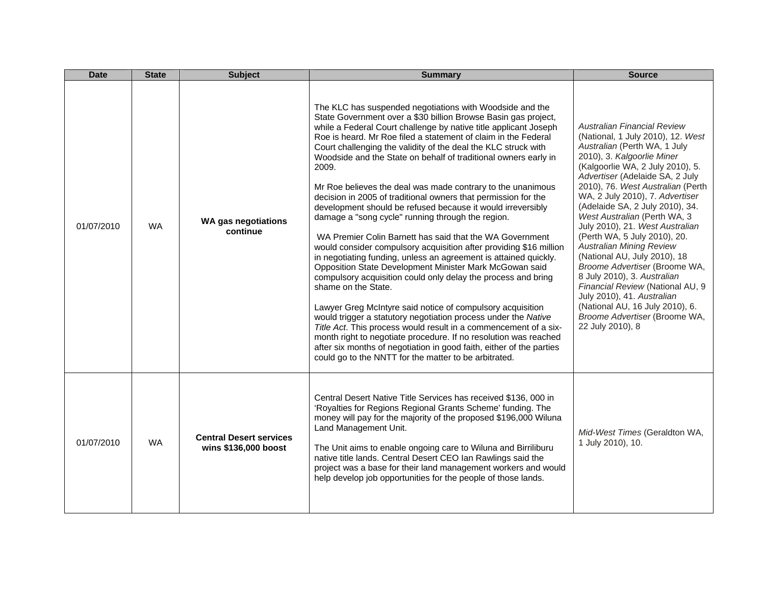| <b>Date</b> | <b>State</b> | <b>Subject</b>                                         | <b>Summary</b>                                                                                                                                                                                                                                                                                                                                                                                                                                                                                                                                                                                                                                                                                                                                                                                                                                                                                                                                                                                                                                                                                                                                                                                                                                                                                                                                                                                                                        | <b>Source</b>                                                                                                                                                                                                                                                                                                                                                                                                                                                                                                                                                                                                                                                                                                           |
|-------------|--------------|--------------------------------------------------------|---------------------------------------------------------------------------------------------------------------------------------------------------------------------------------------------------------------------------------------------------------------------------------------------------------------------------------------------------------------------------------------------------------------------------------------------------------------------------------------------------------------------------------------------------------------------------------------------------------------------------------------------------------------------------------------------------------------------------------------------------------------------------------------------------------------------------------------------------------------------------------------------------------------------------------------------------------------------------------------------------------------------------------------------------------------------------------------------------------------------------------------------------------------------------------------------------------------------------------------------------------------------------------------------------------------------------------------------------------------------------------------------------------------------------------------|-------------------------------------------------------------------------------------------------------------------------------------------------------------------------------------------------------------------------------------------------------------------------------------------------------------------------------------------------------------------------------------------------------------------------------------------------------------------------------------------------------------------------------------------------------------------------------------------------------------------------------------------------------------------------------------------------------------------------|
| 01/07/2010  | <b>WA</b>    | <b>WA gas negotiations</b><br>continue                 | The KLC has suspended negotiations with Woodside and the<br>State Government over a \$30 billion Browse Basin gas project,<br>while a Federal Court challenge by native title applicant Joseph<br>Roe is heard. Mr Roe filed a statement of claim in the Federal<br>Court challenging the validity of the deal the KLC struck with<br>Woodside and the State on behalf of traditional owners early in<br>2009.<br>Mr Roe believes the deal was made contrary to the unanimous<br>decision in 2005 of traditional owners that permission for the<br>development should be refused because it would irreversibly<br>damage a "song cycle" running through the region.<br>WA Premier Colin Barnett has said that the WA Government<br>would consider compulsory acquisition after providing \$16 million<br>in negotiating funding, unless an agreement is attained quickly.<br>Opposition State Development Minister Mark McGowan said<br>compulsory acquisition could only delay the process and bring<br>shame on the State.<br>Lawyer Greg McIntyre said notice of compulsory acquisition<br>would trigger a statutory negotiation process under the Native<br>Title Act. This process would result in a commencement of a six-<br>month right to negotiate procedure. If no resolution was reached<br>after six months of negotiation in good faith, either of the parties<br>could go to the NNTT for the matter to be arbitrated. | <b>Australian Financial Review</b><br>(National, 1 July 2010), 12. West<br>Australian (Perth WA, 1 July<br>2010), 3. Kalgoorlie Miner<br>(Kalgoorlie WA, 2 July 2010), 5.<br>Advertiser (Adelaide SA, 2 July<br>2010), 76. West Australian (Perth<br>WA, 2 July 2010), 7. Advertiser<br>(Adelaide SA, 2 July 2010), 34.<br>West Australian (Perth WA, 3<br>July 2010), 21. West Australian<br>(Perth WA, 5 July 2010), 20.<br><b>Australian Mining Review</b><br>(National AU, July 2010), 18<br>Broome Advertiser (Broome WA,<br>8 July 2010), 3. Australian<br>Financial Review (National AU, 9<br>July 2010), 41. Australian<br>(National AU, 16 July 2010), 6.<br>Broome Advertiser (Broome WA,<br>22 July 2010), 8 |
| 01/07/2010  | WA.          | <b>Central Desert services</b><br>wins \$136,000 boost | Central Desert Native Title Services has received \$136, 000 in<br>'Royalties for Regions Regional Grants Scheme' funding. The<br>money will pay for the majority of the proposed \$196,000 Wiluna<br>Land Management Unit.<br>The Unit aims to enable ongoing care to Wiluna and Birriliburu<br>native title lands. Central Desert CEO Ian Rawlings said the<br>project was a base for their land management workers and would<br>help develop job opportunities for the people of those lands.                                                                                                                                                                                                                                                                                                                                                                                                                                                                                                                                                                                                                                                                                                                                                                                                                                                                                                                                      | Mid-West Times (Geraldton WA,<br>1 July 2010), 10.                                                                                                                                                                                                                                                                                                                                                                                                                                                                                                                                                                                                                                                                      |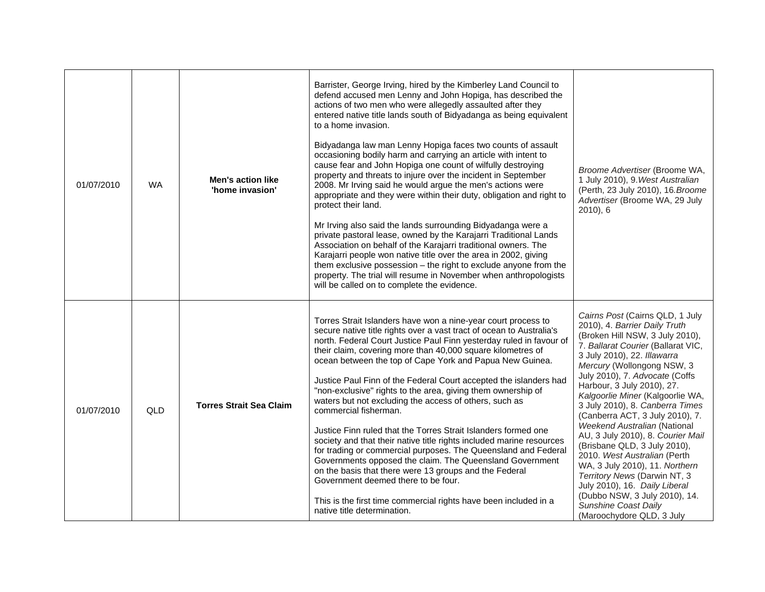| 01/07/2010 | <b>WA</b> | <b>Men's action like</b><br>'home invasion' | Barrister, George Irving, hired by the Kimberley Land Council to<br>defend accused men Lenny and John Hopiga, has described the<br>actions of two men who were allegedly assaulted after they<br>entered native title lands south of Bidyadanga as being equivalent<br>to a home invasion.<br>Bidyadanga law man Lenny Hopiga faces two counts of assault<br>occasioning bodily harm and carrying an article with intent to<br>cause fear and John Hopiga one count of wilfully destroying<br>property and threats to injure over the incident in September<br>2008. Mr Irving said he would argue the men's actions were<br>appropriate and they were within their duty, obligation and right to<br>protect their land.<br>Mr Irving also said the lands surrounding Bidyadanga were a<br>private pastoral lease, owned by the Karajarri Traditional Lands<br>Association on behalf of the Karajarri traditional owners. The<br>Karajarri people won native title over the area in 2002, giving<br>them exclusive possession $-$ the right to exclude anyone from the<br>property. The trial will resume in November when anthropologists<br>will be called on to complete the evidence. | Broome Advertiser (Broome WA,<br>1 July 2010), 9. West Australian<br>(Perth, 23 July 2010), 16. Broome<br>Advertiser (Broome WA, 29 July<br>$2010$ , 6                                                                                                                                                                                                                                                                                                                                                                                                                                                                                                                                                         |
|------------|-----------|---------------------------------------------|-------------------------------------------------------------------------------------------------------------------------------------------------------------------------------------------------------------------------------------------------------------------------------------------------------------------------------------------------------------------------------------------------------------------------------------------------------------------------------------------------------------------------------------------------------------------------------------------------------------------------------------------------------------------------------------------------------------------------------------------------------------------------------------------------------------------------------------------------------------------------------------------------------------------------------------------------------------------------------------------------------------------------------------------------------------------------------------------------------------------------------------------------------------------------------------------|----------------------------------------------------------------------------------------------------------------------------------------------------------------------------------------------------------------------------------------------------------------------------------------------------------------------------------------------------------------------------------------------------------------------------------------------------------------------------------------------------------------------------------------------------------------------------------------------------------------------------------------------------------------------------------------------------------------|
| 01/07/2010 | QLD       | <b>Torres Strait Sea Claim</b>              | Torres Strait Islanders have won a nine-year court process to<br>secure native title rights over a vast tract of ocean to Australia's<br>north. Federal Court Justice Paul Finn yesterday ruled in favour of<br>their claim, covering more than 40,000 square kilometres of<br>ocean between the top of Cape York and Papua New Guinea.<br>Justice Paul Finn of the Federal Court accepted the islanders had<br>"non-exclusive" rights to the area, giving them ownership of<br>waters but not excluding the access of others, such as<br>commercial fisherman.<br>Justice Finn ruled that the Torres Strait Islanders formed one<br>society and that their native title rights included marine resources<br>for trading or commercial purposes. The Queensland and Federal<br>Governments opposed the claim. The Queensland Government<br>on the basis that there were 13 groups and the Federal<br>Government deemed there to be four.<br>This is the first time commercial rights have been included in a<br>native title determination.                                                                                                                                               | Cairns Post (Cairns QLD, 1 July<br>2010), 4. Barrier Daily Truth<br>(Broken Hill NSW, 3 July 2010),<br>7. Ballarat Courier (Ballarat VIC,<br>3 July 2010), 22. Illawarra<br>Mercury (Wollongong NSW, 3<br>July 2010), 7. Advocate (Coffs<br>Harbour, 3 July 2010), 27.<br>Kalgoorlie Miner (Kalgoorlie WA,<br>3 July 2010), 8. Canberra Times<br>(Canberra ACT, 3 July 2010), 7.<br>Weekend Australian (National<br>AU, 3 July 2010), 8. Courier Mail<br>(Brisbane QLD, 3 July 2010),<br>2010. West Australian (Perth<br>WA, 3 July 2010), 11. Northern<br>Territory News (Darwin NT, 3<br>July 2010), 16. Daily Liberal<br>(Dubbo NSW, 3 July 2010), 14.<br>Sunshine Coast Daily<br>(Maroochydore QLD, 3 July |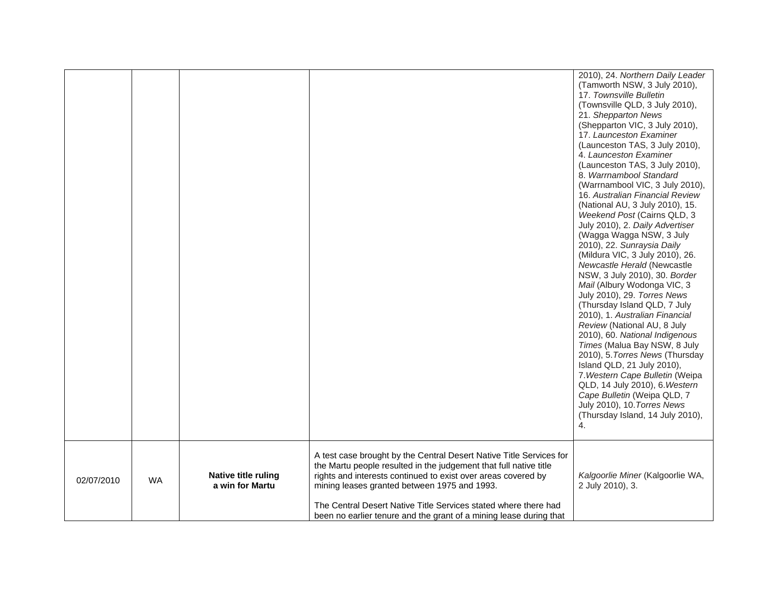|            |           |                                               |                                                                                                                                                                                                                                                                                                                                                                                                    | 2010), 24. Northern Daily Leader<br>(Tamworth NSW, 3 July 2010),<br>17. Townsville Bulletin<br>(Townsville QLD, 3 July 2010),<br>21. Shepparton News<br>(Shepparton VIC, 3 July 2010),<br>17. Launceston Examiner<br>(Launceston TAS, 3 July 2010),<br>4. Launceston Examiner<br>(Launceston TAS, 3 July 2010),<br>8. Warrnambool Standard<br>(Warrnambool VIC, 3 July 2010),<br>16. Australian Financial Review<br>(National AU, 3 July 2010), 15.<br>Weekend Post (Cairns QLD, 3<br>July 2010), 2. Daily Advertiser<br>(Wagga Wagga NSW, 3 July<br>2010), 22. Sunraysia Daily<br>(Mildura VIC, 3 July 2010), 26.<br>Newcastle Herald (Newcastle<br>NSW, 3 July 2010), 30. Border<br>Mail (Albury Wodonga VIC, 3<br>July 2010), 29. Torres News<br>(Thursday Island QLD, 7 July<br>2010), 1. Australian Financial<br>Review (National AU, 8 July<br>2010), 60. National Indigenous<br>Times (Malua Bay NSW, 8 July<br>2010), 5. Torres News (Thursday<br>Island QLD, 21 July 2010),<br>7. Western Cape Bulletin (Weipa<br>QLD, 14 July 2010), 6. Western<br>Cape Bulletin (Weipa QLD, 7<br>July 2010), 10. Torres News |
|------------|-----------|-----------------------------------------------|----------------------------------------------------------------------------------------------------------------------------------------------------------------------------------------------------------------------------------------------------------------------------------------------------------------------------------------------------------------------------------------------------|-------------------------------------------------------------------------------------------------------------------------------------------------------------------------------------------------------------------------------------------------------------------------------------------------------------------------------------------------------------------------------------------------------------------------------------------------------------------------------------------------------------------------------------------------------------------------------------------------------------------------------------------------------------------------------------------------------------------------------------------------------------------------------------------------------------------------------------------------------------------------------------------------------------------------------------------------------------------------------------------------------------------------------------------------------------------------------------------------------------------------|
|            |           |                                               |                                                                                                                                                                                                                                                                                                                                                                                                    | (Thursday Island, 14 July 2010),<br>4.                                                                                                                                                                                                                                                                                                                                                                                                                                                                                                                                                                                                                                                                                                                                                                                                                                                                                                                                                                                                                                                                                  |
| 02/07/2010 | <b>WA</b> | <b>Native title ruling</b><br>a win for Martu | A test case brought by the Central Desert Native Title Services for<br>the Martu people resulted in the judgement that full native title<br>rights and interests continued to exist over areas covered by<br>mining leases granted between 1975 and 1993.<br>The Central Desert Native Title Services stated where there had<br>been no earlier tenure and the grant of a mining lease during that | Kalgoorlie Miner (Kalgoorlie WA,<br>2 July 2010), 3.                                                                                                                                                                                                                                                                                                                                                                                                                                                                                                                                                                                                                                                                                                                                                                                                                                                                                                                                                                                                                                                                    |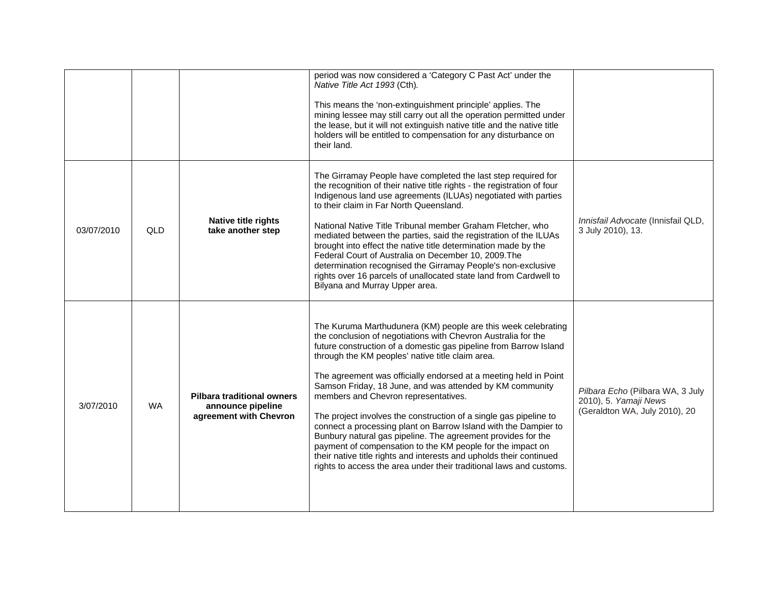|            |            |                                                                                  | period was now considered a 'Category C Past Act' under the<br>Native Title Act 1993 (Cth).<br>This means the 'non-extinguishment principle' applies. The<br>mining lessee may still carry out all the operation permitted under<br>the lease, but it will not extinguish native title and the native title<br>holders will be entitled to compensation for any disturbance on<br>their land.                                                                                                                                                                                                                                                                                                                                                                                                                                                       |                                                                                            |
|------------|------------|----------------------------------------------------------------------------------|-----------------------------------------------------------------------------------------------------------------------------------------------------------------------------------------------------------------------------------------------------------------------------------------------------------------------------------------------------------------------------------------------------------------------------------------------------------------------------------------------------------------------------------------------------------------------------------------------------------------------------------------------------------------------------------------------------------------------------------------------------------------------------------------------------------------------------------------------------|--------------------------------------------------------------------------------------------|
| 03/07/2010 | <b>QLD</b> | Native title rights<br>take another step                                         | The Girramay People have completed the last step required for<br>the recognition of their native title rights - the registration of four<br>Indigenous land use agreements (ILUAs) negotiated with parties<br>to their claim in Far North Queensland.<br>National Native Title Tribunal member Graham Fletcher, who<br>mediated between the parties, said the registration of the ILUAs<br>brought into effect the native title determination made by the<br>Federal Court of Australia on December 10, 2009. The<br>determination recognised the Girramay People's non-exclusive<br>rights over 16 parcels of unallocated state land from Cardwell to<br>Bilyana and Murray Upper area.                                                                                                                                                            | Innisfail Advocate (Innisfail QLD,<br>3 July 2010), 13.                                    |
| 3/07/2010  | <b>WA</b>  | <b>Pilbara traditional owners</b><br>announce pipeline<br>agreement with Chevron | The Kuruma Marthudunera (KM) people are this week celebrating<br>the conclusion of negotiations with Chevron Australia for the<br>future construction of a domestic gas pipeline from Barrow Island<br>through the KM peoples' native title claim area.<br>The agreement was officially endorsed at a meeting held in Point<br>Samson Friday, 18 June, and was attended by KM community<br>members and Chevron representatives.<br>The project involves the construction of a single gas pipeline to<br>connect a processing plant on Barrow Island with the Dampier to<br>Bunbury natural gas pipeline. The agreement provides for the<br>payment of compensation to the KM people for the impact on<br>their native title rights and interests and upholds their continued<br>rights to access the area under their traditional laws and customs. | Pilbara Echo (Pilbara WA, 3 July<br>2010), 5. Yamaji News<br>(Geraldton WA, July 2010), 20 |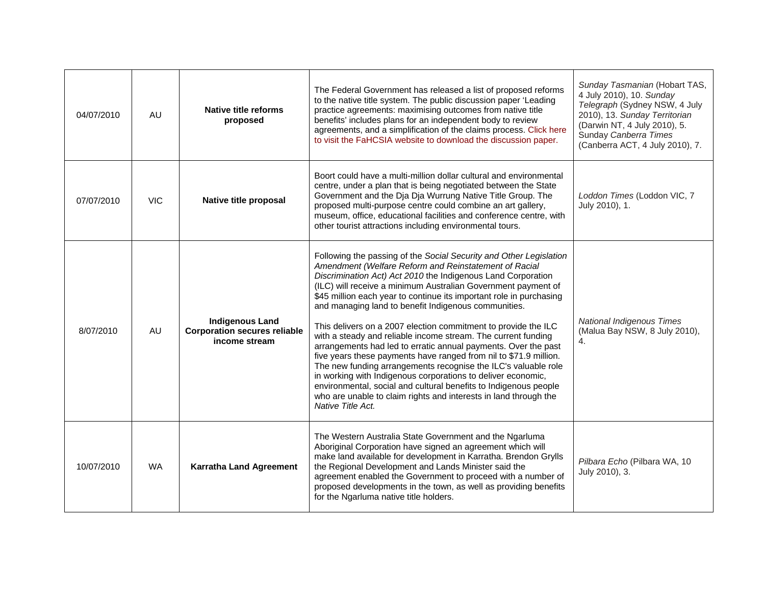| 04/07/2010 | AU         | <b>Native title reforms</b><br>proposed                                        | The Federal Government has released a list of proposed reforms<br>to the native title system. The public discussion paper 'Leading<br>practice agreements: maximising outcomes from native title<br>benefits' includes plans for an independent body to review<br>agreements, and a simplification of the claims process. Click here<br>to visit the FaHCSIA website to download the discussion paper.                                                                                                                                                                                                                                                                                                                                                                                                                                                                                                                                                               | Sunday Tasmanian (Hobart TAS,<br>4 July 2010), 10. Sunday<br>Telegraph (Sydney NSW, 4 July<br>2010), 13. Sunday Territorian<br>(Darwin NT, 4 July 2010), 5.<br>Sunday Canberra Times<br>(Canberra ACT, 4 July 2010), 7. |
|------------|------------|--------------------------------------------------------------------------------|----------------------------------------------------------------------------------------------------------------------------------------------------------------------------------------------------------------------------------------------------------------------------------------------------------------------------------------------------------------------------------------------------------------------------------------------------------------------------------------------------------------------------------------------------------------------------------------------------------------------------------------------------------------------------------------------------------------------------------------------------------------------------------------------------------------------------------------------------------------------------------------------------------------------------------------------------------------------|-------------------------------------------------------------------------------------------------------------------------------------------------------------------------------------------------------------------------|
| 07/07/2010 | <b>VIC</b> | Native title proposal                                                          | Boort could have a multi-million dollar cultural and environmental<br>centre, under a plan that is being negotiated between the State<br>Government and the Dja Dja Wurrung Native Title Group. The<br>proposed multi-purpose centre could combine an art gallery,<br>museum, office, educational facilities and conference centre, with<br>other tourist attractions including environmental tours.                                                                                                                                                                                                                                                                                                                                                                                                                                                                                                                                                                 | Loddon Times (Loddon VIC, 7<br>July 2010), 1.                                                                                                                                                                           |
| 8/07/2010  | AU         | <b>Indigenous Land</b><br><b>Corporation secures reliable</b><br>income stream | Following the passing of the Social Security and Other Legislation<br>Amendment (Welfare Reform and Reinstatement of Racial<br>Discrimination Act) Act 2010 the Indigenous Land Corporation<br>(ILC) will receive a minimum Australian Government payment of<br>\$45 million each year to continue its important role in purchasing<br>and managing land to benefit Indigenous communities.<br>This delivers on a 2007 election commitment to provide the ILC<br>with a steady and reliable income stream. The current funding<br>arrangements had led to erratic annual payments. Over the past<br>five years these payments have ranged from nil to \$71.9 million.<br>The new funding arrangements recognise the ILC's valuable role<br>in working with Indigenous corporations to deliver economic,<br>environmental, social and cultural benefits to Indigenous people<br>who are unable to claim rights and interests in land through the<br>Native Title Act. | <b>National Indigenous Times</b><br>(Malua Bay NSW, 8 July 2010),<br>4.                                                                                                                                                 |
| 10/07/2010 | <b>WA</b>  | <b>Karratha Land Agreement</b>                                                 | The Western Australia State Government and the Ngarluma<br>Aboriginal Corporation have signed an agreement which will<br>make land available for development in Karratha. Brendon Grylls<br>the Regional Development and Lands Minister said the<br>agreement enabled the Government to proceed with a number of<br>proposed developments in the town, as well as providing benefits<br>for the Ngarluma native title holders.                                                                                                                                                                                                                                                                                                                                                                                                                                                                                                                                       | Pilbara Echo (Pilbara WA, 10<br>July 2010), 3.                                                                                                                                                                          |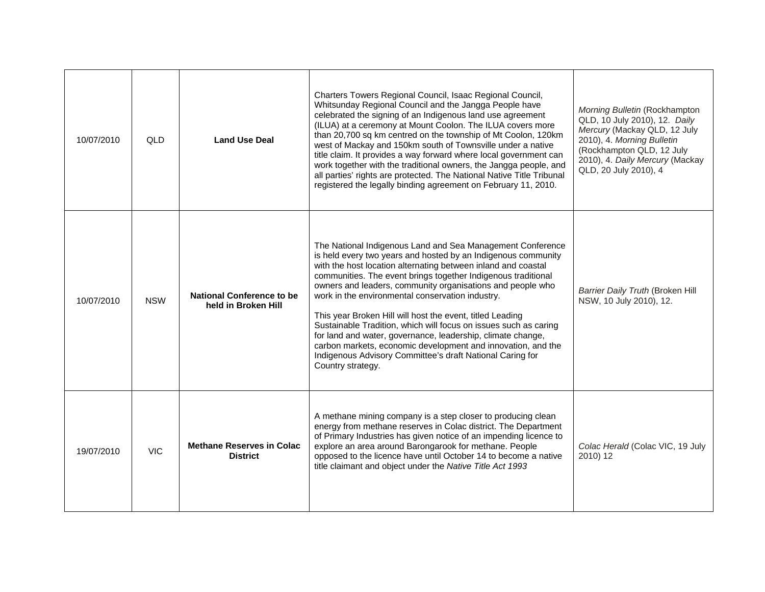| 10/07/2010 | <b>QLD</b> | <b>Land Use Deal</b>                                    | Charters Towers Regional Council, Isaac Regional Council,<br>Whitsunday Regional Council and the Jangga People have<br>celebrated the signing of an Indigenous land use agreement<br>(ILUA) at a ceremony at Mount Coolon. The ILUA covers more<br>than 20,700 sq km centred on the township of Mt Coolon, 120km<br>west of Mackay and 150km south of Townsville under a native<br>title claim. It provides a way forward where local government can<br>work together with the traditional owners, the Jangga people, and<br>all parties' rights are protected. The National Native Title Tribunal<br>registered the legally binding agreement on February 11, 2010.                                                              | Morning Bulletin (Rockhampton<br>QLD, 10 July 2010), 12. Daily<br>Mercury (Mackay QLD, 12 July<br>2010), 4. Morning Bulletin<br>(Rockhampton QLD, 12 July<br>2010), 4. Daily Mercury (Mackay<br>QLD, 20 July 2010), 4 |
|------------|------------|---------------------------------------------------------|-----------------------------------------------------------------------------------------------------------------------------------------------------------------------------------------------------------------------------------------------------------------------------------------------------------------------------------------------------------------------------------------------------------------------------------------------------------------------------------------------------------------------------------------------------------------------------------------------------------------------------------------------------------------------------------------------------------------------------------|-----------------------------------------------------------------------------------------------------------------------------------------------------------------------------------------------------------------------|
| 10/07/2010 | <b>NSW</b> | <b>National Conference to be</b><br>held in Broken Hill | The National Indigenous Land and Sea Management Conference<br>is held every two years and hosted by an Indigenous community<br>with the host location alternating between inland and coastal<br>communities. The event brings together Indigenous traditional<br>owners and leaders, community organisations and people who<br>work in the environmental conservation industry.<br>This year Broken Hill will host the event, titled Leading<br>Sustainable Tradition, which will focus on issues such as caring<br>for land and water, governance, leadership, climate change,<br>carbon markets, economic development and innovation, and the<br>Indigenous Advisory Committee's draft National Caring for<br>Country strategy. | Barrier Daily Truth (Broken Hill<br>NSW, 10 July 2010), 12.                                                                                                                                                           |
| 19/07/2010 | <b>VIC</b> | <b>Methane Reserves in Colac</b><br><b>District</b>     | A methane mining company is a step closer to producing clean<br>energy from methane reserves in Colac district. The Department<br>of Primary Industries has given notice of an impending licence to<br>explore an area around Barongarook for methane. People<br>opposed to the licence have until October 14 to become a native<br>title claimant and object under the Native Title Act 1993                                                                                                                                                                                                                                                                                                                                     | Colac Herald (Colac VIC, 19 July<br>2010) 12                                                                                                                                                                          |